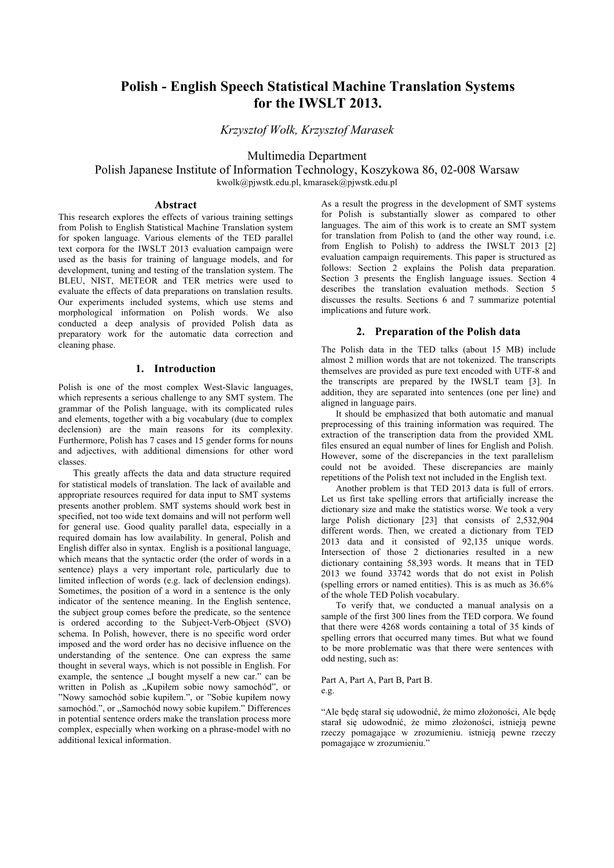# **Polish - English Speech Statistical Machine Translation Systems for the IWSLT 2013.**

*Krzysztof Wołk, Krzysztof Marasek*

Multimedia Department

Polish Japanese Institute of Information Technology, Koszykowa 86, 02-008 Warsaw kwolk@pjwstk.edu.pl, kmarasek@pjwstk.edu.pl

## **Abstract**

This research explores the effects of various training settings from Polish to English Statistical Machine Translation system for spoken language. Various elements of the TED parallel text corpora for the IWSLT 2013 evaluation campaign were used as the basis for training of language models, and for development, tuning and testing of the translation system. The BLEU, NIST, METEOR and TER metrics were used to evaluate the effects of data preparations on translation results. Our experiments included systems, which use stems and morphological information on Polish words. We also conducted a deep analysis of provided Polish data as preparatory work for the automatic data correction and cleaning phase.

# **1. Introduction**

Polish is one of the most complex West-Slavic languages, which represents a serious challenge to any SMT system. The grammar of the Polish language, with its complicated rules and elements, together with a big vocabulary (due to complex declension) are the main reasons for its complexity. Furthermore, Polish has 7 cases and 15 gender forms for nouns and adjectives, with additional dimensions for other word classes.

This greatly affects the data and data structure required for statistical models of translation. The lack of available and appropriate resources required for data input to SMT systems presents another problem. SMT systems should work best in specified, not too wide text domains and will not perform well for general use. Good quality parallel data, especially in a required domain has low availability. In general, Polish and English differ also in syntax. English is a positional language, which means that the syntactic order (the order of words in a sentence) plays a very important role, particularly due to limited inflection of words (e.g. lack of declension endings). Sometimes, the position of a word in a sentence is the only indicator of the sentence meaning. In the English sentence, the subject group comes before the predicate, so the sentence is ordered according to the Subject-Verb-Object (SVO) schema. In Polish, however, there is no specific word order imposed and the word order has no decisive influence on the understanding of the sentence. One can express the same thought in several ways, which is not possible in English. For example, the sentence "I bought myself a new car." can be written in Polish as "Kupiłem sobie nowy samochód", or "Nowy samochód sobie kupiłem.", or "Sobie kupiłem nowy samochód.", or "Samochód nowy sobie kupiłem." Differences in potential sentence orders make the translation process more complex, especially when working on a phrase-model with no additional lexical information.

As a result the progress in the development of SMT systems for Polish is substantially slower as compared to other languages. The aim of this work is to create an SMT system for translation from Polish to (and the other way round, i.e. from English to Polish) to address the IWSLT 2013 [2] evaluation campaign requirements. This paper is structured as follows: Section 2 explains the Polish data preparation. Section 3 presents the English language issues. Section 4 describes the translation evaluation methods. Section 5 discusses the results. Sections 6 and 7 summarize potential implications and future work.

# **2. Preparation of the Polish data**

The Polish data in the TED talks (about 15 MB) include almost 2 million words that are not tokenized. The transcripts themselves are provided as pure text encoded with UTF-8 and the transcripts are prepared by the IWSLT team [3]. In addition, they are separated into sentences (one per line) and aligned in language pairs.

It should be emphasized that both automatic and manual preprocessing of this training information was required. The extraction of the transcription data from the provided XML files ensured an equal number of lines for English and Polish. However, some of the discrepancies in the text parallelism could not be avoided. These discrepancies are mainly repetitions of the Polish text not included in the English text.

Another problem is that TED 2013 data is full of errors. Let us first take spelling errors that artificially increase the dictionary size and make the statistics worse. We took a very large Polish dictionary [23] that consists of 2,532,904 different words. Then, we created a dictionary from TED 2013 data and it consisted of 92,135 unique words. Intersection of those 2 dictionaries resulted in a new dictionary containing 58,393 words. It means that in TED 2013 we found 33742 words that do not exist in Polish (spelling errors or named entities). This is as much as 36.6% of the whole TED Polish vocabulary.

To verify that, we conducted a manual analysis on a sample of the first 300 lines from the TED corpora. We found that there were 4268 words containing a total of 35 kinds of spelling errors that occurred many times. But what we found to be more problematic was that there were sentences with odd nesting, such as:

#### Part A, Part A, Part B, Part B. e.g.

"Ale będę starał się udowodnić, że mimo złożoności, Ale będę starał się udowodnić, że mimo złożoności, istnieją pewne rzeczy pomagające w zrozumieniu. istnieją pewne rzeczy pomagające w zrozumieniu."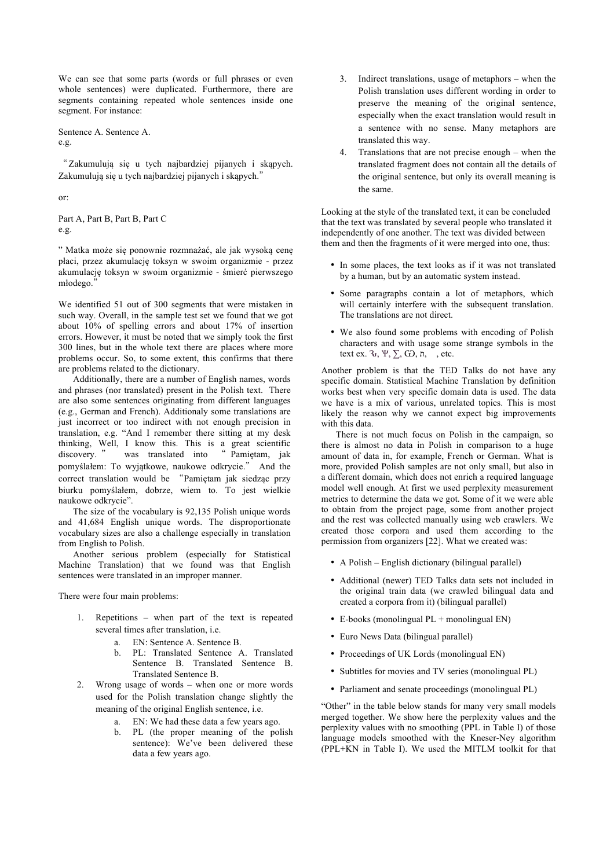We can see that some parts (words or full phrases or even whole sentences) were duplicated. Furthermore, there are segments containing repeated whole sentences inside one segment. For instance:

Sentence A. Sentence A.

e.g.

"Zakumulują się u tych najbardziej pijanych i skąpych. Zakumulują się u tych najbardziej pijanych i skąpych."

or:

Part A, Part B, Part B, Part C e.g.

" Matka może się ponownie rozmnażać, ale jak wysoką cenę płaci, przez akumulację toksyn w swoim organizmie - przez akumulację toksyn w swoim organizmie - śmierć pierwszego młodego."

We identified 51 out of 300 segments that were mistaken in such way. Overall, in the sample test set we found that we got about 10% of spelling errors and about 17% of insertion errors. However, it must be noted that we simply took the first 300 lines, but in the whole text there are places where more problems occur. So, to some extent, this confirms that there are problems related to the dictionary.

Additionally, there are a number of English names, words and phrases (nor translated) present in the Polish text. There are also some sentences originating from different languages (e.g., German and French). Additionaly some translations are just incorrect or too indirect with not enough precision in translation, e.g. "And I remember there sitting at my desk thinking, Well, I know this. This is a great scientific discovery. " was translated into " Pamiętam, jak was translated into pomyślałem: To wyjątkowe, naukowe odkrycie." And the correct translation would be "Pamiętam jak siedząc przy biurku pomyślałem, dobrze, wiem to. To jest wielkie naukowe odkrycie".

The size of the vocabulary is 92,135 Polish unique words and 41,684 English unique words. The disproportionate vocabulary sizes are also a challenge especially in translation from English to Polish.

Another serious problem (especially for Statistical Machine Translation) that we found was that English sentences were translated in an improper manner.

There were four main problems:

- 1. Repetitions when part of the text is repeated several times after translation, i.e.
	- a. EN: Sentence A. Sentence B.
	- b. PL: Translated Sentence A. Translated Sentence B. Translated Sentence B. Translated Sentence B.
- 2. Wrong usage of words when one or more words used for the Polish translation change slightly the meaning of the original English sentence, i.e.
	- a. EN: We had these data a few years ago.
	- b. PL (the proper meaning of the polish sentence): We've been delivered these data a few years ago.
- 3. Indirect translations, usage of metaphors when the Polish translation uses different wording in order to preserve the meaning of the original sentence, especially when the exact translation would result in a sentence with no sense. Many metaphors are translated this way.
- 4. Translations that are not precise enough when the translated fragment does not contain all the details of the original sentence, but only its overall meaning is the same.

Looking at the style of the translated text, it can be concluded that the text was translated by several people who translated it independently of one another. The text was divided between them and then the fragments of it were merged into one, thus:

- In some places, the text looks as if it was not translated by a human, but by an automatic system instead.
- Some paragraphs contain a lot of metaphors, which will certainly interfere with the subsequent translation. The translations are not direct.
- We also found some problems with encoding of Polish characters and with usage some strange symbols in the text ex.  $\mathcal{F}, \Psi, \Sigma, G$ , n, , etc.

Another problem is that the TED Talks do not have any specific domain. Statistical Machine Translation by definition works best when very specific domain data is used. The data we have is a mix of various, unrelated topics. This is most likely the reason why we cannot expect big improvements with this data.

There is not much focus on Polish in the campaign, so there is almost no data in Polish in comparison to a huge amount of data in, for example, French or German. What is more, provided Polish samples are not only small, but also in a different domain, which does not enrich a required language model well enough. At first we used perplexity measurement metrics to determine the data we got. Some of it we were able to obtain from the project page, some from another project and the rest was collected manually using web crawlers. We created those corpora and used them according to the permission from organizers [22]. What we created was:

- A Polish English dictionary (bilingual parallel)
- Additional (newer) TED Talks data sets not included in the original train data (we crawled bilingual data and created a corpora from it) (bilingual parallel)
- E-books (monolingual  $PL +$  monolingual  $EN$ )
- Euro News Data (bilingual parallel)
- Proceedings of UK Lords (monolingual EN)
- Subtitles for movies and TV series (monolingual PL)
- Parliament and senate proceedings (monolingual PL)

"Other" in the table below stands for many very small models merged together. We show here the perplexity values and the perplexity values with no smoothing (PPL in Table I) of those language models smoothed with the Kneser-Ney algorithm (PPL+KN in Table I). We used the MITLM toolkit for that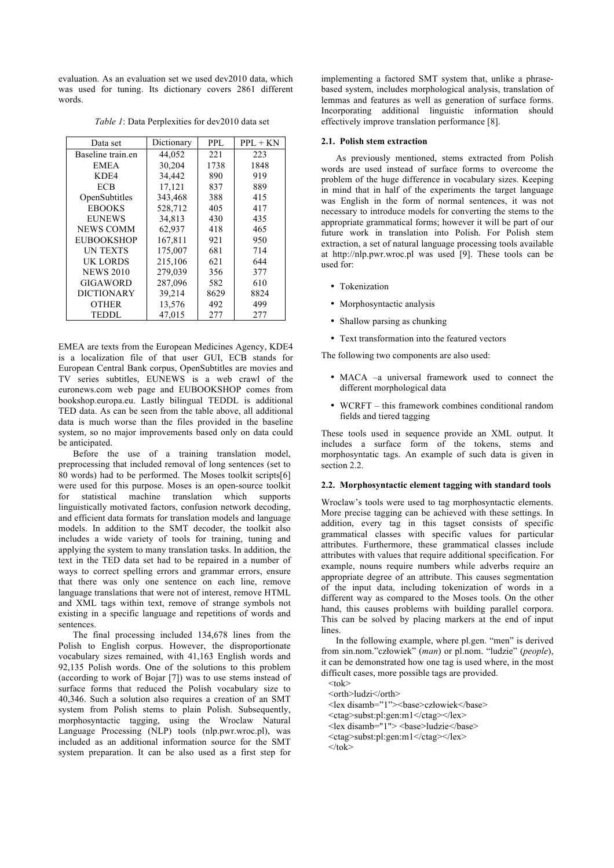evaluation. As an evaluation set we used dev2010 data, which was used for tuning. Its dictionary covers 2861 different words.

*Table 1*: Data Perplexities for dev2010 data set

| Data set          | Dictionary | PPL. | $PPI. + KN$ |
|-------------------|------------|------|-------------|
| Baseline train.en | 44,052     | 221  | 223         |
| <b>EMEA</b>       | 30,204     | 1738 | 1848        |
| KDE4              | 34,442     | 890  | 919         |
| <b>ECB</b>        | 17,121     | 837  | 889         |
| OpenSubtitles     | 343,468    | 388  | 415         |
| <b>EBOOKS</b>     | 528,712    | 405  | 417         |
| <b>EUNEWS</b>     | 34,813     | 430  | 435         |
| <b>NEWS COMM</b>  | 62,937     | 418  | 465         |
| <b>EUBOOKSHOP</b> | 167,811    | 921  | 950         |
| <b>UN TEXTS</b>   | 175,007    | 681  | 714         |
| UK LORDS          | 215,106    | 621  | 644         |
| <b>NEWS 2010</b>  | 279,039    | 356  | 377         |
| <b>GIGAWORD</b>   | 287,096    | 582  | 610         |
| <b>DICTIONARY</b> | 39,214     | 8629 | 8824        |
| OTHER             | 13,576     | 492  | 499         |
| TEDDL.            | 47,015     | 277  | 277         |

EMEA are texts from the European Medicines Agency, KDE4 is a localization file of that user GUI, ECB stands for European Central Bank corpus, OpenSubtitles are movies and TV series subtitles, EUNEWS is a web crawl of the euronews.com web page and EUBOOKSHOP comes from bookshop.europa.eu. Lastly bilingual TEDDL is additional TED data. As can be seen from the table above, all additional data is much worse than the files provided in the baseline system, so no major improvements based only on data could be anticipated.

Before the use of a training translation model, preprocessing that included removal of long sentences (set to 80 words) had to be performed. The Moses toolkit scripts[6] were used for this purpose. Moses is an open-source toolkit for statistical machine translation which supports linguistically motivated factors, confusion network decoding, and efficient data formats for translation models and language models. In addition to the SMT decoder, the toolkit also includes a wide variety of tools for training, tuning and applying the system to many translation tasks. In addition, the text in the TED data set had to be repaired in a number of ways to correct spelling errors and grammar errors, ensure that there was only one sentence on each line, remove language translations that were not of interest, remove HTML and XML tags within text, remove of strange symbols not existing in a specific language and repetitions of words and sentences.

The final processing included 134,678 lines from the Polish to English corpus. However, the disproportionate vocabulary sizes remained, with 41,163 English words and 92,135 Polish words. One of the solutions to this problem (according to work of Bojar [7]) was to use stems instead of surface forms that reduced the Polish vocabulary size to 40,346. Such a solution also requires a creation of an SMT system from Polish stems to plain Polish. Subsequently, morphosyntactic tagging, using the Wroclaw Natural Language Processing (NLP) tools (nlp.pwr.wroc.pl), was included as an additional information source for the SMT system preparation. It can be also used as a first step for

implementing a factored SMT system that, unlike a phrasebased system, includes morphological analysis, translation of lemmas and features as well as generation of surface forms. Incorporating additional linguistic information should effectively improve translation performance [8].

## **2.1. Polish stem extraction**

As previously mentioned, stems extracted from Polish words are used instead of surface forms to overcome the problem of the huge difference in vocabulary sizes. Keeping in mind that in half of the experiments the target language was English in the form of normal sentences, it was not necessary to introduce models for converting the stems to the appropriate grammatical forms; however it will be part of our future work in translation into Polish. For Polish stem extraction, a set of natural language processing tools available at http://nlp.pwr.wroc.pl was used [9]. These tools can be used for:

- Tokenization
- Morphosyntactic analysis
- Shallow parsing as chunking
- Text transformation into the featured vectors

The following two components are also used:

- MACA –a universal framework used to connect the different morphological data
- WCRFT this framework combines conditional random fields and tiered tagging

These tools used in sequence provide an XML output. It includes a surface form of the tokens, stems and morphosyntatic tags. An example of such data is given in section 2.2.

#### **2.2. Morphosyntactic element tagging with standard tools**

Wroclaw's tools were used to tag morphosyntactic elements. More precise tagging can be achieved with these settings. In addition, every tag in this tagset consists of specific grammatical classes with specific values for particular attributes. Furthermore, these grammatical classes include attributes with values that require additional specification. For example, nouns require numbers while adverbs require an appropriate degree of an attribute. This causes segmentation of the input data, including tokenization of words in a different way as compared to the Moses tools. On the other hand, this causes problems with building parallel corpora. This can be solved by placing markers at the end of input **lines**.

In the following example, where pl.gen. "men" is derived from sin.nom."człowiek" (*man*) or pl.nom. "ludzie" (*people*), it can be demonstrated how one tag is used where, in the most difficult cases, more possible tags are provided.

 $<$ tok $>$ <orth>ludzi</orth>

<lex disamb="1"><br/>base>człowiek</base>

<ctag>subst:pl:gen:m1</ctag></lex> <lex disamb="1"> <base>ludzie</base>

<ctag>subst:pl:gen:m1</ctag></lex>

 $\langle$ tok>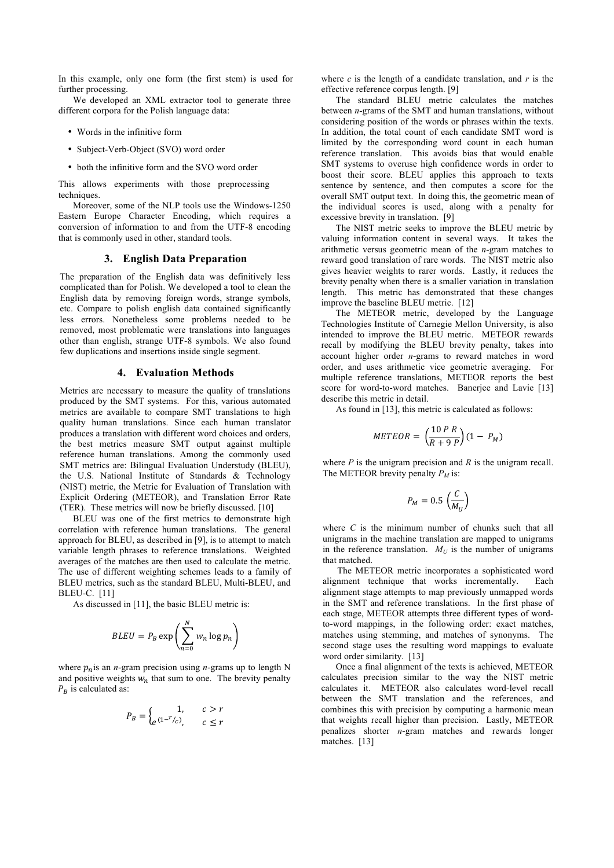In this example, only one form (the first stem) is used for further processing.

We developed an XML extractor tool to generate three different corpora for the Polish language data:

- Words in the infinitive form
- Subject-Verb-Object (SVO) word order
- both the infinitive form and the SVO word order

This allows experiments with those preprocessing techniques.

Moreover, some of the NLP tools use the Windows-1250 Eastern Europe Character Encoding, which requires a conversion of information to and from the UTF-8 encoding that is commonly used in other, standard tools.

# **3. English Data Preparation**

The preparation of the English data was definitively less complicated than for Polish. We developed a tool to clean the English data by removing foreign words, strange symbols, etc. Compare to polish english data contained significantly less errors. Nonetheless some problems needed to be removed, most problematic were translations into languages other than english, strange UTF-8 symbols. We also found few duplications and insertions inside single segment.

### **4. Evaluation Methods**

Metrics are necessary to measure the quality of translations produced by the SMT systems. For this, various automated metrics are available to compare SMT translations to high quality human translations. Since each human translator produces a translation with different word choices and orders, the best metrics measure SMT output against multiple reference human translations. Among the commonly used SMT metrics are: Bilingual Evaluation Understudy (BLEU), the U.S. National Institute of Standards & Technology (NIST) metric, the Metric for Evaluation of Translation with Explicit Ordering (METEOR), and Translation Error Rate (TER). These metrics will now be briefly discussed. [10]

BLEU was one of the first metrics to demonstrate high correlation with reference human translations. The general approach for BLEU, as described in [9], is to attempt to match variable length phrases to reference translations. Weighted averages of the matches are then used to calculate the metric. The use of different weighting schemes leads to a family of BLEU metrics, such as the standard BLEU, Multi-BLEU, and BLEU-C. [11]

As discussed in [11], the basic BLEU metric is:

$$
BLEU = P_B \exp\left(\sum_{n=0}^{N} w_n \log p_n\right)
$$

where  $p_n$  is an *n*-gram precision using *n*-grams up to length N and positive weights  $w_n$  that sum to one. The brevity penalty  $P_R$  is calculated as:

$$
P_B = \begin{cases} 1, & c > r \\ e^{(1 - r/c)}, & c \le r \end{cases}
$$

where  $c$  is the length of a candidate translation, and  $r$  is the effective reference corpus length. [9]

The standard BLEU metric calculates the matches between *n*-grams of the SMT and human translations, without considering position of the words or phrases within the texts. In addition, the total count of each candidate SMT word is limited by the corresponding word count in each human reference translation. This avoids bias that would enable SMT systems to overuse high confidence words in order to boost their score. BLEU applies this approach to texts sentence by sentence, and then computes a score for the overall SMT output text. In doing this, the geometric mean of the individual scores is used, along with a penalty for excessive brevity in translation. [9]

The NIST metric seeks to improve the BLEU metric by valuing information content in several ways. It takes the arithmetic versus geometric mean of the *n*-gram matches to reward good translation of rare words. The NIST metric also gives heavier weights to rarer words. Lastly, it reduces the brevity penalty when there is a smaller variation in translation length. This metric has demonstrated that these changes improve the baseline BLEU metric. [12]

The METEOR metric, developed by the Language Technologies Institute of Carnegie Mellon University, is also intended to improve the BLEU metric. METEOR rewards recall by modifying the BLEU brevity penalty, takes into account higher order *n*-grams to reward matches in word order, and uses arithmetic vice geometric averaging. For multiple reference translations, METEOR reports the best score for word-to-word matches. Banerjee and Lavie [13] describe this metric in detail.

As found in [13], this metric is calculated as follows:

$$
METEOR = \left(\frac{10 \ P \ R}{R+9 \ P}\right)(1 - P_M)
$$

where *P* is the unigram precision and *R* is the unigram recall. The METEOR brevity penalty  $P_M$  is:

$$
P_M = 0.5 \, \left( \frac{C}{M_U} \right)
$$

where *C* is the minimum number of chunks such that all unigrams in the machine translation are mapped to unigrams in the reference translation.  $M_U$  is the number of unigrams that matched.

The METEOR metric incorporates a sophisticated word alignment technique that works incrementally. Each alignment stage attempts to map previously unmapped words in the SMT and reference translations. In the first phase of each stage, METEOR attempts three different types of wordto-word mappings, in the following order: exact matches, matches using stemming, and matches of synonyms. The second stage uses the resulting word mappings to evaluate word order similarity. [13]

Once a final alignment of the texts is achieved, METEOR calculates precision similar to the way the NIST metric calculates it. METEOR also calculates word-level recall between the SMT translation and the references, and combines this with precision by computing a harmonic mean that weights recall higher than precision. Lastly, METEOR penalizes shorter *n*-gram matches and rewards longer matches. [13]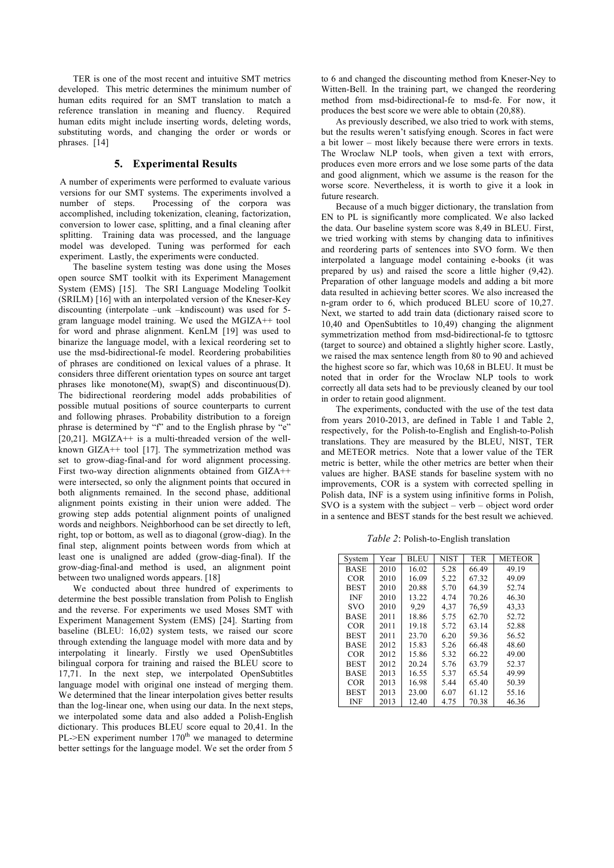TER is one of the most recent and intuitive SMT metrics developed. This metric determines the minimum number of human edits required for an SMT translation to match a reference translation in meaning and fluency. Required human edits might include inserting words, deleting words, substituting words, and changing the order or words or phrases. [14]

# **5. Experimental Results**

A number of experiments were performed to evaluate various versions for our SMT systems. The experiments involved a number of steps. Processing of the corpora was accomplished, including tokenization, cleaning, factorization, conversion to lower case, splitting, and a final cleaning after splitting. Training data was processed, and the language model was developed. Tuning was performed for each experiment. Lastly, the experiments were conducted.

The baseline system testing was done using the Moses open source SMT toolkit with its Experiment Management System (EMS) [15]. The SRI Language Modeling Toolkit (SRILM) [16] with an interpolated version of the Kneser-Key discounting (interpolate –unk –kndiscount) was used for 5 gram language model training. We used the MGIZA++ tool for word and phrase alignment. KenLM [19] was used to binarize the language model, with a lexical reordering set to use the msd-bidirectional-fe model. Reordering probabilities of phrases are conditioned on lexical values of a phrase. It considers three different orientation types on source ant target phrases like monotone(M), swap(S) and discontinuous(D). The bidirectional reordering model adds probabilities of possible mutual positions of source counterparts to current and following phrases. Probability distribution to a foreign phrase is determined by "f" and to the English phrase by "e" [20,21]. MGIZA $++$  is a multi-threaded version of the wellknown GIZA++ tool [17]. The symmetrization method was set to grow-diag-final-and for word alignment processing. First two-way direction alignments obtained from GIZA++ were intersected, so only the alignment points that occured in both alignments remained. In the second phase, additional alignment points existing in their union were added. The growing step adds potential alignment points of unaligned words and neighbors. Neighborhood can be set directly to left, right, top or bottom, as well as to diagonal (grow-diag). In the final step, alignment points between words from which at least one is unaligned are added (grow-diag-final). If the grow-diag-final-and method is used, an alignment point between two unaligned words appears. [18]

We conducted about three hundred of experiments to determine the best possible translation from Polish to English and the reverse. For experiments we used Moses SMT with Experiment Management System (EMS) [24]. Starting from baseline (BLEU: 16,02) system tests, we raised our score through extending the language model with more data and by interpolating it linearly. Firstly we used OpenSubtitles bilingual corpora for training and raised the BLEU score to 17,71. In the next step, we interpolated OpenSubtitles language model with original one instead of merging them. We determined that the linear interpolation gives better results than the log-linear one, when using our data. In the next steps, we interpolated some data and also added a Polish-English dictionary. This produces BLEU score equal to 20,41. In the PL- $>EN$  experiment number 170<sup>th</sup> we managed to determine better settings for the language model. We set the order from 5 to 6 and changed the discounting method from Kneser-Ney to Witten-Bell. In the training part, we changed the reordering method from msd-bidirectional-fe to msd-fe. For now, it produces the best score we were able to obtain (20,88).

As previously described, we also tried to work with stems, but the results weren't satisfying enough. Scores in fact were a bit lower – most likely because there were errors in texts. The Wroclaw NLP tools, when given a text with errors, produces even more errors and we lose some parts of the data and good alignment, which we assume is the reason for the worse score. Nevertheless, it is worth to give it a look in future research.

Because of a much bigger dictionary, the translation from EN to PL is significantly more complicated. We also lacked the data. Our baseline system score was 8,49 in BLEU. First, we tried working with stems by changing data to infinitives and reordering parts of sentences into SVO form. We then interpolated a language model containing e-books (it was prepared by us) and raised the score a little higher (9,42). Preparation of other language models and adding a bit more data resulted in achieving better scores. We also increased the n-gram order to 6, which produced BLEU score of 10,27. Next, we started to add train data (dictionary raised score to 10,40 and OpenSubtitles to 10,49) changing the alignment symmetrization method from msd-bidirectional-fe to tgttosrc (target to source) and obtained a slightly higher score. Lastly, we raised the max sentence length from 80 to 90 and achieved the highest score so far, which was 10,68 in BLEU. It must be noted that in order for the Wroclaw NLP tools to work correctly all data sets had to be previously cleaned by our tool in order to retain good alignment.

The experiments, conducted with the use of the test data from years 2010-2013, are defined in Table 1 and Table 2, respectively, for the Polish-to-English and English-to-Polish translations. They are measured by the BLEU, NIST, TER and METEOR metrics. Note that a lower value of the TER metric is better, while the other metrics are better when their values are higher. BASE stands for baseline system with no improvements, COR is a system with corrected spelling in Polish data, INF is a system using infinitive forms in Polish, SVO is a system with the subject – verb – object word order in a sentence and BEST stands for the best result we achieved.

*Table 2*: Polish-to-English translation

| System      | Year | <b>BLEU</b> | <b>NIST</b> | TER   | <b>METEOR</b> |
|-------------|------|-------------|-------------|-------|---------------|
| <b>BASE</b> | 2010 | 16.02       | 5.28        | 66.49 | 49.19         |
| <b>COR</b>  | 2010 | 16.09       | 5.22        | 67.32 | 49.09         |
| <b>BEST</b> | 2010 | 20.88       | 5.70        | 64.39 | 52.74         |
| <b>INF</b>  | 2010 | 13.22       | 4.74        | 70.26 | 46.30         |
| <b>SVO</b>  | 2010 | 9,29        | 4,37        | 76,59 | 43,33         |
| <b>BASE</b> | 2011 | 18.86       | 5.75        | 62.70 | 52.72         |
| COR.        | 2011 | 19.18       | 5.72        | 63.14 | 52.88         |
| <b>BEST</b> | 2011 | 23.70       | 6.20        | 59.36 | 56.52         |
| <b>BASE</b> | 2012 | 15.83       | 5.26        | 66.48 | 48.60         |
| <b>COR</b>  | 2012 | 15.86       | 5.32        | 66.22 | 49.00         |
| <b>BEST</b> | 2012 | 20.24       | 5.76        | 63.79 | 52.37         |
| <b>BASE</b> | 2013 | 16.55       | 5.37        | 65.54 | 49.99         |
| <b>COR</b>  | 2013 | 16.98       | 5.44        | 65.40 | 50.39         |
| <b>BEST</b> | 2013 | 23.00       | 6.07        | 61.12 | 55.16         |
| <b>INF</b>  | 2013 | 12.40       | 4.75        | 70.38 | 46.36         |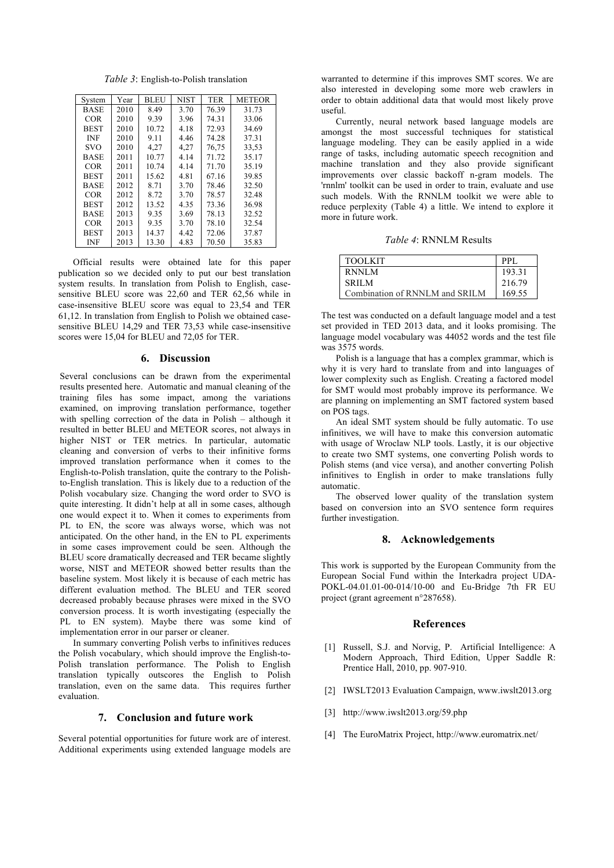*Table 3*: English-to-Polish translation

| System      | Year | <b>BLEU</b> | <b>NIST</b> | <b>TER</b> | <b>METEOR</b> |
|-------------|------|-------------|-------------|------------|---------------|
| <b>BASE</b> | 2010 | 8.49        | 3.70        | 76.39      | 31.73         |
| <b>COR</b>  | 2010 | 9.39        | 3.96        | 74.31      | 33.06         |
| <b>BEST</b> | 2010 | 10.72       | 4.18        | 72.93      | 34.69         |
| <b>INF</b>  | 2010 | 9.11        | 4.46        | 74.28      | 37.31         |
| <b>SVO</b>  | 2010 | 4,27        | 4,27        | 76,75      | 33,53         |
| <b>BASE</b> | 2011 | 10.77       | 4.14        | 71.72      | 35.17         |
| <b>COR</b>  | 2011 | 10.74       | 4.14        | 71.70      | 35.19         |
| <b>BEST</b> | 2011 | 15.62       | 4.81        | 67.16      | 39.85         |
| <b>BASE</b> | 2012 | 8.71        | 3.70        | 78.46      | 32.50         |
| <b>COR</b>  | 2012 | 8.72        | 3.70        | 78.57      | 32.48         |
| <b>BEST</b> | 2012 | 13.52       | 4.35        | 73.36      | 36.98         |
| <b>BASE</b> | 2013 | 9.35        | 3.69        | 78.13      | 32.52         |
| <b>COR</b>  | 2013 | 9.35        | 3.70        | 78.10      | 32.54         |
| <b>BEST</b> | 2013 | 14.37       | 4.42        | 72.06      | 37.87         |
| <b>INF</b>  | 2013 | 13.30       | 4.83        | 70.50      | 35.83         |

Official results were obtained late for this paper publication so we decided only to put our best translation system results. In translation from Polish to English, casesensitive BLEU score was 22,60 and TER 62,56 while in case-insensitive BLEU score was equal to 23,54 and TER 61,12. In translation from English to Polish we obtained casesensitive BLEU 14,29 and TER 73,53 while case-insensitive scores were 15,04 for BLEU and 72,05 for TER.

# **6. Discussion**

Several conclusions can be drawn from the experimental results presented here. Automatic and manual cleaning of the training files has some impact, among the variations examined, on improving translation performance, together with spelling correction of the data in Polish – although it resulted in better BLEU and METEOR scores, not always in higher NIST or TER metrics. In particular, automatic cleaning and conversion of verbs to their infinitive forms improved translation performance when it comes to the English-to-Polish translation, quite the contrary to the Polishto-English translation. This is likely due to a reduction of the Polish vocabulary size. Changing the word order to SVO is quite interesting. It didn't help at all in some cases, although one would expect it to. When it comes to experiments from PL to EN, the score was always worse, which was not anticipated. On the other hand, in the EN to PL experiments in some cases improvement could be seen. Although the BLEU score dramatically decreased and TER became slightly worse, NIST and METEOR showed better results than the baseline system. Most likely it is because of each metric has different evaluation method. The BLEU and TER scored decreased probably because phrases were mixed in the SVO conversion process. It is worth investigating (especially the PL to EN system). Maybe there was some kind of implementation error in our parser or cleaner.

In summary converting Polish verbs to infinitives reduces the Polish vocabulary, which should improve the English-to-Polish translation performance. The Polish to English translation typically outscores the English to Polish translation, even on the same data. This requires further evaluation.

# **7. Conclusion and future work**

Several potential opportunities for future work are of interest. Additional experiments using extended language models are warranted to determine if this improves SMT scores. We are also interested in developing some more web crawlers in order to obtain additional data that would most likely prove useful.

Currently, neural network based language models are amongst the most successful techniques for statistical language modeling. They can be easily applied in a wide range of tasks, including automatic speech recognition and machine translation and they also provide significant improvements over classic backoff n-gram models. The 'rnnlm' toolkit can be used in order to train, evaluate and use such models. With the RNNLM toolkit we were able to reduce perplexity (Table 4) a little. We intend to explore it more in future work.

*Table 4*: RNNLM Results

| <b>TOOLKIT</b>                 | PPI.   |
|--------------------------------|--------|
| RNNLM                          | 193.31 |
| SRILM                          | 216.79 |
| Combination of RNNLM and SRILM | 169.55 |

The test was conducted on a default language model and a test set provided in TED 2013 data, and it looks promising. The language model vocabulary was 44052 words and the test file was 3575 words.

Polish is a language that has a complex grammar, which is why it is very hard to translate from and into languages of lower complexity such as English. Creating a factored model for SMT would most probably improve its performance. We are planning on implementing an SMT factored system based on POS tags.

An ideal SMT system should be fully automatic. To use infinitives, we will have to make this conversion automatic with usage of Wroclaw NLP tools. Lastly, it is our objective to create two SMT systems, one converting Polish words to Polish stems (and vice versa), and another converting Polish infinitives to English in order to make translations fully automatic.

The observed lower quality of the translation system based on conversion into an SVO sentence form requires further investigation.

### **8. Acknowledgements**

This work is supported by the European Community from the European Social Fund within the Interkadra project UDA-POKL-04.01.01-00-014/10-00 and Eu-Bridge 7th FR EU project (grant agreement n°287658).

#### **References**

- [1] Russell, S.J. and Norvig, P. Artificial Intelligence: A Modern Approach, Third Edition, Upper Saddle R: Prentice Hall, 2010, pp. 907-910.
- [2] IWSLT2013 Evaluation Campaign, www.iwslt2013.org
- [3] http://www.iwslt2013.org/59.php
- [4] The EuroMatrix Project, http://www.euromatrix.net/